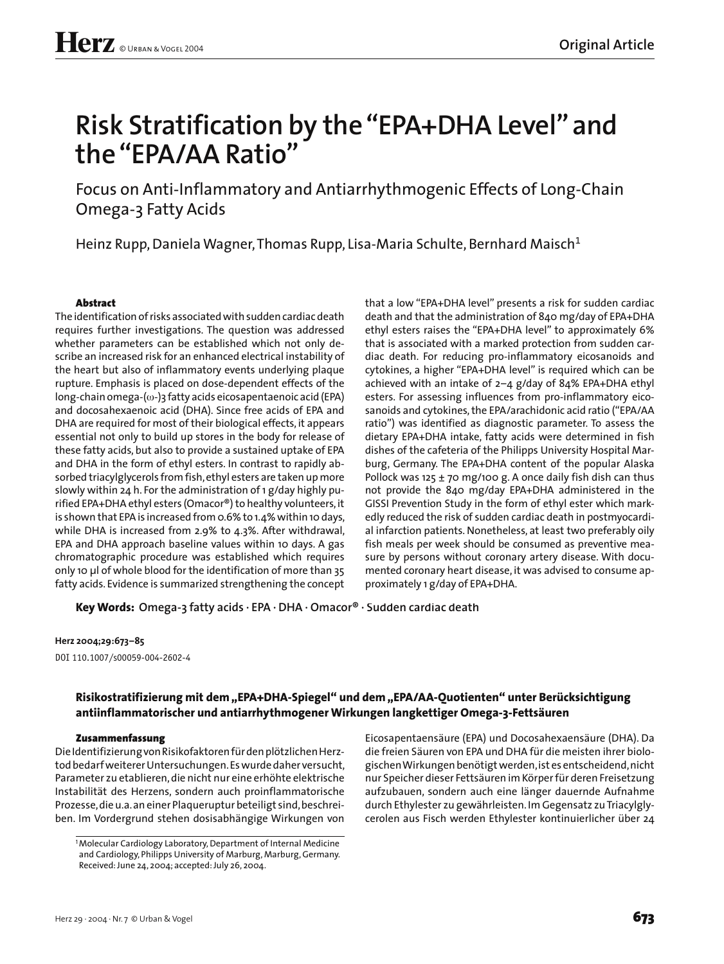# **Risk Stratification by the "EPA+DHA Level" and the "EPA/AA Ratio"**

Focus on Anti-Inflammatory and Antiarrhythmogenic Effects of Long-Chain Omega-3 Fatty Acids

Heinz Rupp, Daniela Wagner, Thomas Rupp, Lisa-Maria Schulte, Bernhard Maisch<sup>1</sup>

## **Abstract**

The identification of risks associated with sudden cardiac death requires further investigations. The question was addressed whether parameters can be established which not only describe an increased risk for an enhanced electrical instability of the heart but also of inflammatory events underlying plaque rupture. Emphasis is placed on dose-dependent effects of the long-chain omega-(ω-)3 fatty acids eicosapentaenoic acid (EPA) and docosahexaenoic acid (DHA). Since free acids of EPA and DHA are required for most of their biological effects, it appears essential not only to build up stores in the body for release of these fatty acids, but also to provide a sustained uptake of EPA and DHA in the form of ethyl esters. In contrast to rapidly absorbed triacylglycerols from fish, ethyl esters are taken up more slowly within 24 h. For the administration of 1 g/day highly purified EPA+DHA ethyl esters (Omacor®) to healthy volunteers, it is shown that EPA is increased from 0.6% to 1.4% within 10 days, while DHA is increased from 2.9% to 4.3%. After withdrawal, EPA and DHA approach baseline values within 10 days. A gas chromatographic procedure was established which requires only 10 µl of whole blood for the identification of more than 35 fatty acids. Evidence is summarized strengthening the concept that a low "EPA+DHA level" presents a risk for sudden cardiac death and that the administration of 840 mg/day of EPA+DHA ethyl esters raises the "EPA+DHA level" to approximately 6% that is associated with a marked protection from sudden cardiac death. For reducing pro-inflammatory eicosanoids and cytokines, a higher "EPA+DHA level" is required which can be achieved with an intake of 2–4 g/day of 84% EPA+DHA ethyl esters. For assessing influences from pro-inflammatory eicosanoids and cytokines, the EPA/arachidonic acid ratio ("EPA/AA ratio") was identified as diagnostic parameter. To assess the dietary EPA+DHA intake, fatty acids were determined in fish dishes of the cafeteria of the Philipps University Hospital Marburg, Germany. The EPA+DHA content of the popular Alaska Pollock was 125  $\pm$  70 mg/100 g. A once daily fish dish can thus not provide the 840 mg/day EPA+DHA administered in the GISSI Prevention Study in the form of ethyl ester which markedly reduced the risk of sudden cardiac death in postmyocardial infarction patients. Nonetheless, at least two preferably oily fish meals per week should be consumed as preventive measure by persons without coronary artery disease. With documented coronary heart disease, it was advised to consume approximately 1 g/day of EPA+DHA.

**Key Words: Omega-3 fatty acids · EPA · DHA · Omacor® · Sudden cardiac death**

## **Herz 2004;29:673–85**

DOI 110.1007/s00059-004-2602-4

## **Risikostratifizierung mit dem "EPA+DHA-Spiegel" und dem "EPA/AA-Quotienten" unter Berücksichtigung antiinflammatorischer und antiarrhythmogener Wirkungen langkettiger Omega-3-Fettsäuren**

## **Zusammenfassung**

Die Identifizierung von Risikofaktoren für den plötzlichen Herztod bedarf weiterer Untersuchungen. Es wurde daher versucht, Parameter zu etablieren, die nicht nur eine erhöhte elektrische Instabilität des Herzens, sondern auch proinflammatorische Prozesse, die u.a. an einer Plaqueruptur beteiligt sind, beschreiben. Im Vordergrund stehen dosisabhängige Wirkungen von

Eicosapentaensäure (EPA) und Docosahexaensäure (DHA). Da die freien Säuren von EPA und DHA für die meisten ihrer biologischen Wirkungen benötigt werden, ist es entscheidend, nicht nur Speicher dieser Fettsäuren im Körper für deren Freisetzung aufzubauen, sondern auch eine länger dauernde Aufnahme durch Ethylester zu gewährleisten. Im Gegensatz zu Triacylglycerolen aus Fisch werden Ethylester kontinuierlicher über 24

<sup>&</sup>lt;sup>1</sup> Molecular Cardiology Laboratory, Department of Internal Medicine and Cardiology, Philipps University of Marburg, Marburg, Germany. Received: June 24, 2004; accepted: July 26, 2004.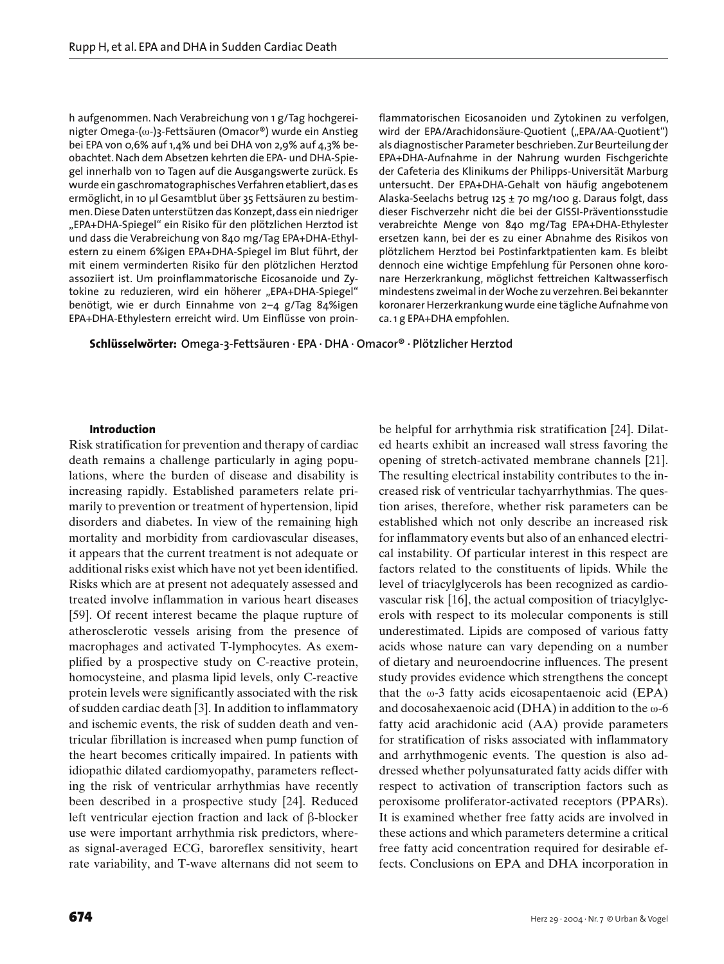h aufgenommen. Nach Verabreichung von 1 g/Tag hochgereinigter Omega-(ω-)3-Fettsäuren (Omacor®) wurde ein Anstieg bei EPA von 0,6% auf 1,4% und bei DHA von 2,9% auf 4,3% beobachtet. Nach dem Absetzen kehrten die EPA- und DHA-Spiegel innerhalb von 10 Tagen auf die Ausgangswerte zurück. Es wurde ein gaschromatographisches Verfahren etabliert, das es ermöglicht, in 10 µl Gesamtblut über 35 Fettsäuren zu bestimmen. Diese Daten unterstützen das Konzept, dass ein niedriger "EPA+DHA-Spiegel" ein Risiko für den plötzlichen Herztod ist und dass die Verabreichung von 840 mg/Tag EPA+DHA-Ethylestern zu einem 6%igen EPA+DHA-Spiegel im Blut führt, der mit einem verminderten Risiko für den plötzlichen Herztod assoziiert ist. Um proinflammatorische Eicosanoide und Zytokine zu reduzieren, wird ein höherer "EPA+DHA-Spiegel" benötigt, wie er durch Einnahme von 2–4 g/Tag 84%igen EPA+DHA-Ethylestern erreicht wird. Um Einflüsse von proinflammatorischen Eicosanoiden und Zytokinen zu verfolgen, wird der EPA/Arachidonsäure-Quotient ("EPA/AA-Quotient") als diagnostischer Parameter beschrieben. Zur Beurteilung der EPA+DHA-Aufnahme in der Nahrung wurden Fischgerichte der Cafeteria des Klinikums der Philipps-Universität Marburg untersucht. Der EPA+DHA-Gehalt von häufig angebotenem Alaska-Seelachs betrug 125 ± 70 mg/100 g. Daraus folgt, dass dieser Fischverzehr nicht die bei der GISSI-Präventionsstudie verabreichte Menge von 840 mg/Tag EPA+DHA-Ethylester ersetzen kann, bei der es zu einer Abnahme des Risikos von plötzlichem Herztod bei Postinfarktpatienten kam. Es bleibt dennoch eine wichtige Empfehlung für Personen ohne koronare Herzerkrankung, möglichst fettreichen Kaltwasserfisch mindestens zweimal in der Woche zu verzehren. Bei bekannter koronarer Herzerkrankung wurde eine tägliche Aufnahme von ca. 1 g EPA+DHA empfohlen.

**Schlüsselwörter: Omega-3-Fettsäuren · EPA · DHA · Omacor® · Plötzlicher Herztod**

## **Introduction**

Risk stratification for prevention and therapy of cardiac death remains a challenge particularly in aging populations, where the burden of disease and disability is increasing rapidly. Established parameters relate primarily to prevention or treatment of hypertension, lipid disorders and diabetes. In view of the remaining high mortality and morbidity from cardiovascular diseases, it appears that the current treatment is not adequate or additional risks exist which have not yet been identified. Risks which are at present not adequately assessed and treated involve inflammation in various heart diseases [59]. Of recent interest became the plaque rupture of atherosclerotic vessels arising from the presence of macrophages and activated T-lymphocytes. As exemplified by a prospective study on C-reactive protein, homocysteine, and plasma lipid levels, only C-reactive protein levels were significantly associated with the risk of sudden cardiac death [3]. In addition to inflammatory and ischemic events, the risk of sudden death and ventricular fibrillation is increased when pump function of the heart becomes critically impaired. In patients with idiopathic dilated cardiomyopathy, parameters reflecting the risk of ventricular arrhythmias have recently been described in a prospective study [24]. Reduced left ventricular ejection fraction and lack of  $\beta$ -blocker use were important arrhythmia risk predictors, whereas signal-averaged ECG, baroreflex sensitivity, heart rate variability, and T-wave alternans did not seem to

be helpful for arrhythmia risk stratification [24]. Dilated hearts exhibit an increased wall stress favoring the opening of stretch-activated membrane channels [21]. The resulting electrical instability contributes to the increased risk of ventricular tachyarrhythmias. The question arises, therefore, whether risk parameters can be established which not only describe an increased risk for inflammatory events but also of an enhanced electrical instability. Of particular interest in this respect are factors related to the constituents of lipids. While the level of triacylglycerols has been recognized as cardiovascular risk [16], the actual composition of triacylglycerols with respect to its molecular components is still underestimated. Lipids are composed of various fatty acids whose nature can vary depending on a number of dietary and neuroendocrine influences. The present study provides evidence which strengthens the concept that the  $\omega$ -3 fatty acids eicosapentaenoic acid (EPA) and docosahexaenoic acid (DHA) in addition to the ω-6 fatty acid arachidonic acid (AA) provide parameters for stratification of risks associated with inflammatory and arrhythmogenic events. The question is also addressed whether polyunsaturated fatty acids differ with respect to activation of transcription factors such as peroxisome proliferator-activated receptors (PPARs). It is examined whether free fatty acids are involved in these actions and which parameters determine a critical free fatty acid concentration required for desirable effects. Conclusions on EPA and DHA incorporation in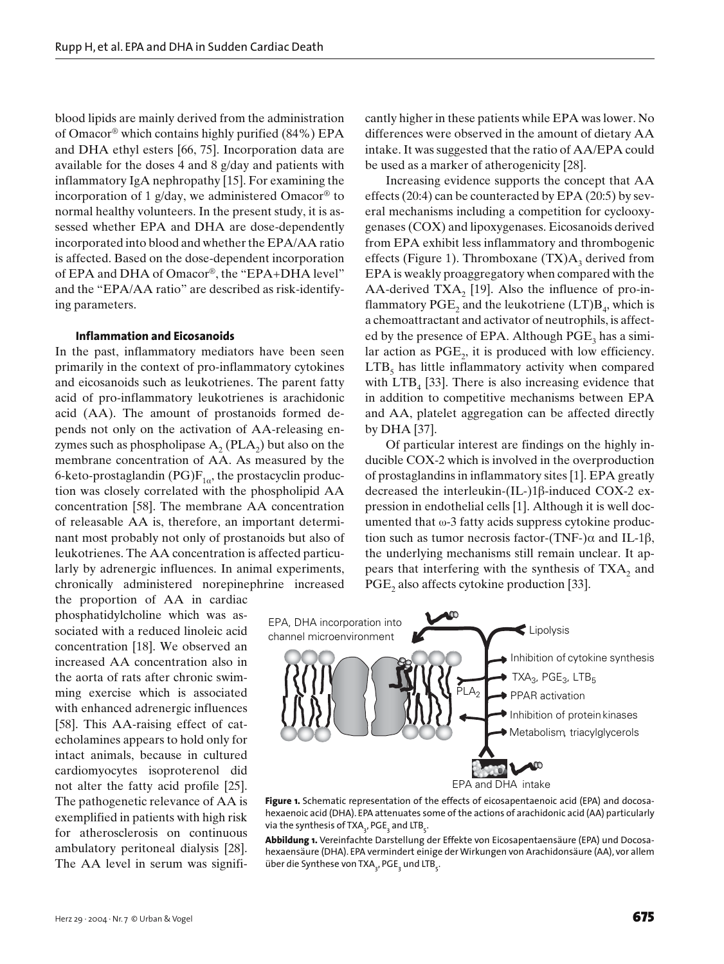blood lipids are mainly derived from the administration of Omacor® which contains highly purified (84%) EPA and DHA ethyl esters [66, 75]. Incorporation data are available for the doses 4 and 8 g/day and patients with inflammatory IgA nephropathy [15]. For examining the incorporation of 1 g/day, we administered Omacor<sup>®</sup> to normal healthy volunteers. In the present study, it is assessed whether EPA and DHA are dose-dependently incorporated into blood and whether the EPA/AA ratio is affected. Based on the dose-dependent incorporation of EPA and DHA of Omacor®, the "EPA+DHA level" and the "EPA/AA ratio" are described as risk-identifying parameters.

#### **Inflammation and Eicosanoids**

In the past, inflammatory mediators have been seen primarily in the context of pro-inflammatory cytokines and eicosanoids such as leukotrienes. The parent fatty acid of pro-inflammatory leukotrienes is arachidonic acid (AA). The amount of prostanoids formed depends not only on the activation of AA-releasing enzymes such as phospholipase  $A_2$  (PLA<sub>2</sub>) but also on the membrane concentration of AA. As measured by the 6-keto-prostaglandin (PG) $F_{1\alpha}$ , the prostacyclin production was closely correlated with the phospholipid AA concentration [58]. The membrane AA concentration of releasable AA is, therefore, an important determinant most probably not only of prostanoids but also of leukotrienes. The AA concentration is affected particularly by adrenergic influences. In animal experiments, chronically administered norepinephrine increased

the proportion of AA in cardiac phosphatidylcholine which was associated with a reduced linoleic acid concentration [18]. We observed an increased AA concentration also in the aorta of rats after chronic swimming exercise which is associated with enhanced adrenergic influences [58]. This AA-raising effect of catecholamines appears to hold only for intact animals, because in cultured cardiomyocytes isoproterenol did not alter the fatty acid profile [25]. The pathogenetic relevance of AA is exemplified in patients with high risk for atherosclerosis on continuous ambulatory peritoneal dialysis [28]. The AA level in serum was significantly higher in these patients while EPA was lower. No differences were observed in the amount of dietary AA intake. It was suggested that the ratio of AA/EPA could be used as a marker of atherogenicity [28].

Increasing evidence supports the concept that AA effects (20:4) can be counteracted by EPA (20:5) by several mechanisms including a competition for cyclooxygenases (COX) and lipoxygenases. Eicosanoids derived from EPA exhibit less inflammatory and thrombogenic effects (Figure 1). Thromboxane  $(TX)A_3$  derived from EPA is weakly proaggregatory when compared with the AA-derived  $TXA_2$  [19]. Also the influence of pro-inflammatory  $\mathrm{PGE}_2$  and the leukotriene (LT) $B_4$ , which is a chemoattractant and activator of neutrophils, is affected by the presence of EPA. Although  $PGE_3$  has a similar action as  $PGE_2$ , it is produced with low efficiency.  $LTB<sub>5</sub>$  has little inflammatory activity when compared with  $LTB<sub>4</sub>$  [33]. There is also increasing evidence that in addition to competitive mechanisms between EPA and AA, platelet aggregation can be affected directly by DHA [37].

Of particular interest are findings on the highly inducible COX-2 which is involved in the overproduction of prostaglandins in inflammatory sites [1]. EPA greatly decreased the interleukin- $(IL-)1\beta$ -induced COX-2 expression in endothelial cells [1]. Although it is well documented that  $\omega$ -3 fatty acids suppress cytokine production such as tumor necrosis factor-(TNF-) $\alpha$  and IL-1 $\beta$ , the underlying mechanisms still remain unclear. It appears that interfering with the synthesis of  $TXA_2$  and  $PGE_2$  also affects cytokine production [33].



Figure 1. Schematic representation of the effects of eicosapentaenoic acid (EPA) and docosahexaenoic acid (DHA). EPA attenuates some of the actions of arachidonic acid (AA) particularly via the synthesis of TXA<sub>3</sub>, PGE<sub>3</sub> and LTB<sub>5</sub>.

**Abbildung 1.** Vereinfachte Darstellung der Effekte von Eicosapentaensäure (EPA) und Docosahexaensäure (DHA). EPA vermindert einige der Wirkungen von Arachidonsäure (AA), vor allem über die Synthese von TXA<sub>3</sub>, PGE<sub>3</sub> und LTB<sub>5</sub>.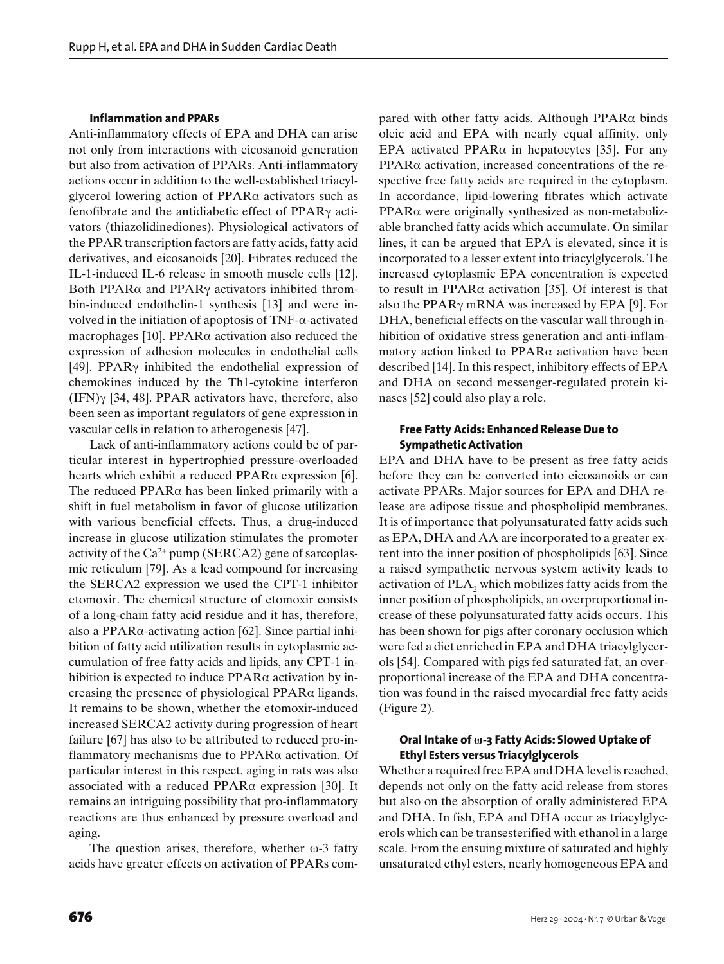#### **Inflammation and PPARs**

Anti-inflammatory effects of EPA and DHA can arise not only from interactions with eicosanoid generation but also from activation of PPARs. Anti-inflammatory actions occur in addition to the well-established triacylglycerol lowering action of PPARα activators such as fenofibrate and the antidiabetic effect of PPARγ activators (thiazolidinediones). Physiological activators of the PPAR transcription factors are fatty acids, fatty acid derivatives, and eicosanoids [20]. Fibrates reduced the IL-1-induced IL-6 release in smooth muscle cells [12]. Both PPAR $\alpha$  and PPAR $\gamma$  activators inhibited thrombin-induced endothelin-1 synthesis [13] and were involved in the initiation of apoptosis of TNF-α-activated macrophages [10]. PPAR $\alpha$  activation also reduced the expression of adhesion molecules in endothelial cells [49]. PPARγ inhibited the endothelial expression of chemokines induced by the Th1-cytokine interferon (IFN)γ [34, 48]. PPAR activators have, therefore, also been seen as important regulators of gene expression in vascular cells in relation to atherogenesis [47].

Lack of anti-inflammatory actions could be of particular interest in hypertrophied pressure-overloaded hearts which exhibit a reduced PPARα expression [6]. The reduced  $PPAR\alpha$  has been linked primarily with a shift in fuel metabolism in favor of glucose utilization with various beneficial effects. Thus, a drug-induced increase in glucose utilization stimulates the promoter activity of the  $Ca^{2+}$  pump (SERCA2) gene of sarcoplasmic reticulum [79]. As a lead compound for increasing the SERCA2 expression we used the CPT-1 inhibitor etomoxir. The chemical structure of etomoxir consists of a long-chain fatty acid residue and it has, therefore, also a PPARα-activating action [62]. Since partial inhibition of fatty acid utilization results in cytoplasmic accumulation of free fatty acids and lipids, any CPT-1 inhibition is expected to induce  $PPAR\alpha$  activation by increasing the presence of physiological PPARα ligands. It remains to be shown, whether the etomoxir-induced increased SERCA2 activity during progression of heart failure [67] has also to be attributed to reduced pro-inflammatory mechanisms due to PPARα activation. Of particular interest in this respect, aging in rats was also associated with a reduced PPAR $\alpha$  expression [30]. It remains an intriguing possibility that pro-inflammatory reactions are thus enhanced by pressure overload and aging.

The question arises, therefore, whether  $\omega$ -3 fatty acids have greater effects on activation of PPARs compared with other fatty acids. Although PPAR $\alpha$  binds oleic acid and EPA with nearly equal affinity, only EPA activated PPAR $\alpha$  in hepatocytes [35]. For any PPARα activation, increased concentrations of the respective free fatty acids are required in the cytoplasm. In accordance, lipid-lowering fibrates which activate PPARα were originally synthesized as non-metabolizable branched fatty acids which accumulate. On similar lines, it can be argued that EPA is elevated, since it is incorporated to a lesser extent into triacylglycerols. The increased cytoplasmic EPA concentration is expected to result in PPARα activation [35]. Of interest is that also the PPARγ mRNA was increased by EPA [9]. For DHA, beneficial effects on the vascular wall through inhibition of oxidative stress generation and anti-inflammatory action linked to PPARα activation have been described [14]. In this respect, inhibitory effects of EPA and DHA on second messenger-regulated protein kinases [52] could also play a role.

## **Free Fatty Acids: Enhanced Release Due to Sympathetic Activation**

EPA and DHA have to be present as free fatty acids before they can be converted into eicosanoids or can activate PPARs. Major sources for EPA and DHA release are adipose tissue and phospholipid membranes. It is of importance that polyunsaturated fatty acids such as EPA, DHA and AA are incorporated to a greater extent into the inner position of phospholipids [63]. Since a raised sympathetic nervous system activity leads to activation of  $PLA_2$  which mobilizes fatty acids from the inner position of phospholipids, an overproportional increase of these polyunsaturated fatty acids occurs. This has been shown for pigs after coronary occlusion which were fed a diet enriched in EPA and DHA triacylglycerols [54]. Compared with pigs fed saturated fat, an overproportional increase of the EPA and DHA concentration was found in the raised myocardial free fatty acids (Figure 2).

## **Oral Intake of ω-3 Fatty Acids: Slowed Uptake of Ethyl Esters versus Triacylglycerols**

Whether a required free EPA and DHA level is reached, depends not only on the fatty acid release from stores but also on the absorption of orally administered EPA and DHA. In fish, EPA and DHA occur as triacylglycerols which can be transesterified with ethanol in a large scale. From the ensuing mixture of saturated and highly unsaturated ethyl esters, nearly homogeneous EPA and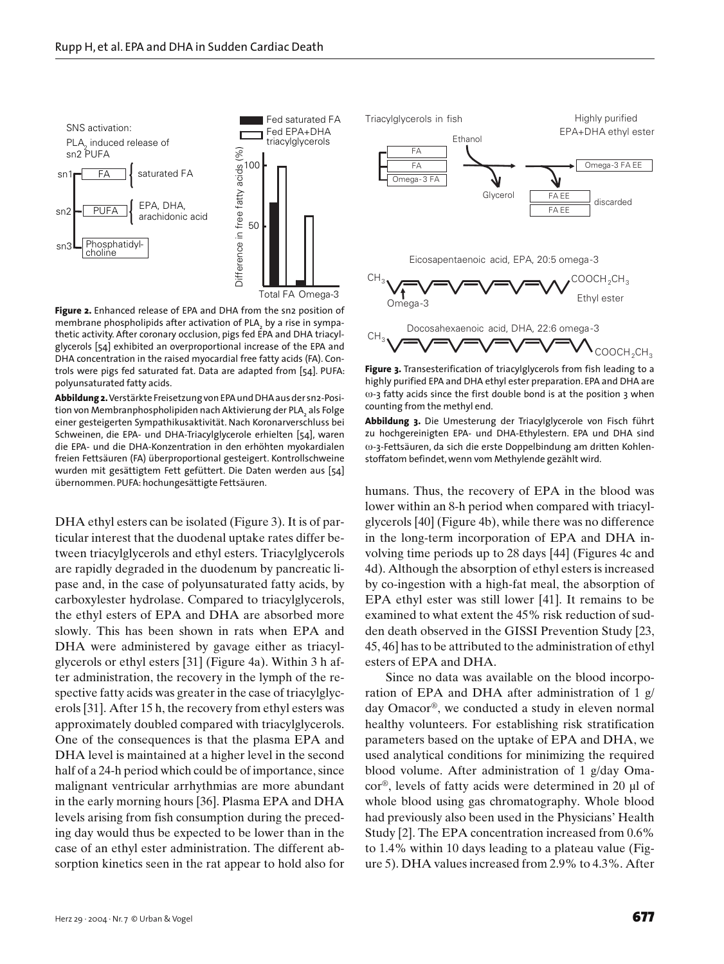

**Figure 2.** Enhanced release of EPA and DHA from the sn2 position of membrane phospholipids after activation of PLA $_{\rm_2}$  by a rise in sympathetic activity. After coronary occlusion, pigs fed EPA and DHA triacylglycerols [54] exhibited an overproportional increase of the EPA and DHA concentration in the raised myocardial free fatty acids (FA). Controls were pigs fed saturated fat. Data are adapted from [54]. PUFA: polyunsaturated fatty acids.

**Abbildung 2.** Verstärkte Freisetzung von EPA und DHA aus der sn2-Position von Membranphospholipiden nach Aktivierung der PLA<sub>2</sub> als Folge einer gesteigerten Sympathikusaktivität. Nach Koronarverschluss bei Schweinen, die EPA- und DHA-Triacylglycerole erhielten [54], waren die EPA- und die DHA-Konzentration in den erhöhten myokardialen freien Fettsäuren (FA) überproportional gesteigert. Kontrollschweine wurden mit gesättigtem Fett gefüttert. Die Daten werden aus [54] übernommen. PUFA: hochungesättigte Fettsäuren.

DHA ethyl esters can be isolated (Figure 3). It is of particular interest that the duodenal uptake rates differ between triacylglycerols and ethyl esters. Triacylglycerols are rapidly degraded in the duodenum by pancreatic lipase and, in the case of polyunsaturated fatty acids, by carboxylester hydrolase. Compared to triacylglycerols, the ethyl esters of EPA and DHA are absorbed more slowly. This has been shown in rats when EPA and DHA were administered by gavage either as triacylglycerols or ethyl esters [31] (Figure 4a). Within 3 h after administration, the recovery in the lymph of the respective fatty acids was greater in the case of triacylglycerols [31]. After 15 h, the recovery from ethyl esters was approximately doubled compared with triacylglycerols. One of the consequences is that the plasma EPA and DHA level is maintained at a higher level in the second half of a 24-h period which could be of importance, since malignant ventricular arrhythmias are more abundant in the early morning hours [36]. Plasma EPA and DHA levels arising from fish consumption during the preceding day would thus be expected to be lower than in the case of an ethyl ester administration. The different absorption kinetics seen in the rat appear to hold also for



**Figure 3.** Transesterification of triacylglycerols from fish leading to a highly purified EPA and DHA ethyl ester preparation. EPA and DHA are  $\omega$ -3 fatty acids since the first double bond is at the position 3 when counting from the methyl end.

**Abbildung 3.** Die Umesterung der Triacylglycerole von Fisch führt zu hochgereinigten EPA- und DHA-Ethylestern. EPA und DHA sind ω-3-Fettsäuren, da sich die erste Doppelbindung am dritten Kohlenstoffatom befindet, wenn vom Methylende gezählt wird.

humans. Thus, the recovery of EPA in the blood was lower within an 8-h period when compared with triacylglycerols [40] (Figure 4b), while there was no difference in the long-term incorporation of EPA and DHA involving time periods up to 28 days [44] (Figures 4c and 4d). Although the absorption of ethyl esters is increased by co-ingestion with a high-fat meal, the absorption of EPA ethyl ester was still lower [41]. It remains to be examined to what extent the 45% risk reduction of sudden death observed in the GISSI Prevention Study [23, 45, 46] has to be attributed to the administration of ethyl esters of EPA and DHA.

Since no data was available on the blood incorporation of EPA and DHA after administration of 1 g/ day Omacor®, we conducted a study in eleven normal healthy volunteers. For establishing risk stratification parameters based on the uptake of EPA and DHA, we used analytical conditions for minimizing the required blood volume. After administration of 1 g/day Omacor®, levels of fatty acids were determined in 20 µl of whole blood using gas chromatography. Whole blood had previously also been used in the Physicians' Health Study [2]. The EPA concentration increased from 0.6% to 1.4% within 10 days leading to a plateau value (Figure 5). DHA values increased from 2.9% to 4.3%. After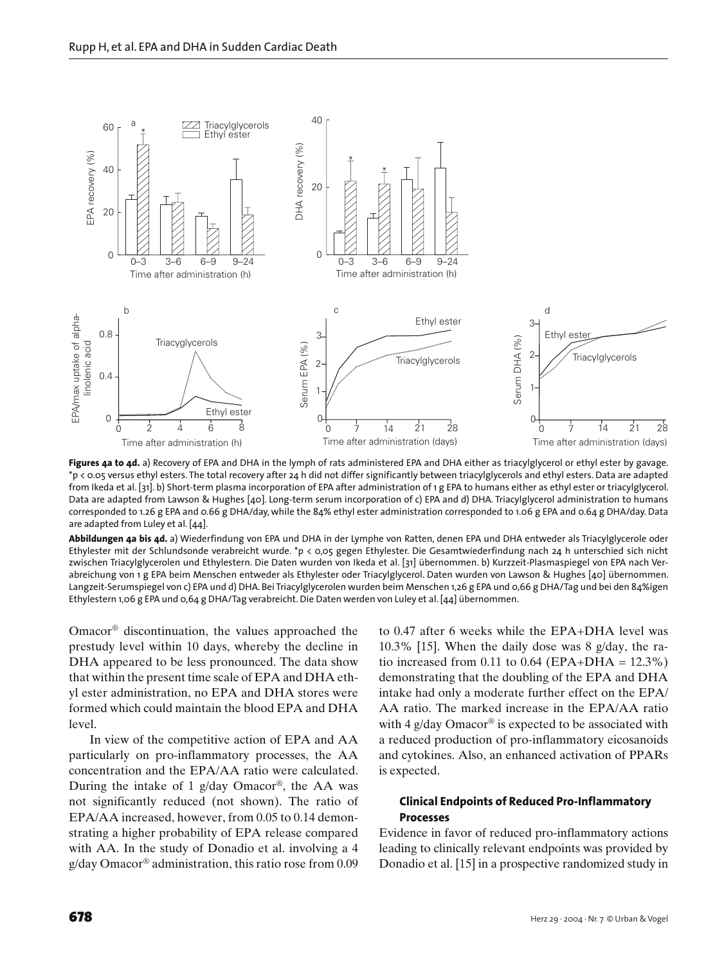

Figures 4a to 4d. a) Recovery of EPA and DHA in the lymph of rats administered EPA and DHA either as triacylglycerol or ethyl ester by gavage. \*p < 0.05 versus ethyl esters. The total recovery after 24 h did not differ significantly between triacylglycerols and ethyl esters. Data are adapted from Ikeda et al. [31]. b) Short-term plasma incorporation of EPA after administration of 1 g EPA to humans either as ethyl ester or triacylglycerol. Data are adapted from Lawson & Hughes [40]. Long-term serum incorporation of c) EPA and d) DHA. Triacylglycerol administration to humans corresponded to 1.26 g EPA and 0.66 g DHA/day, while the 84% ethyl ester administration corresponded to 1.06 g EPA and 0.64 g DHA/day. Data are adapted from Luley et al. [44].

**Abbildungen 4a bis 4d.** a) Wiederfindung von EPA und DHA in der Lymphe von Ratten, denen EPA und DHA entweder als Triacylglycerole oder Ethylester mit der Schlundsonde verabreicht wurde. \*p < 0,05 gegen Ethylester. Die Gesamtwiederfindung nach 24 h unterschied sich nicht zwischen Triacylglycerolen und Ethylestern. Die Daten wurden von Ikeda et al. [31] übernommen. b) Kurzzeit-Plasmaspiegel von EPA nach Verabreichung von 1 g EPA beim Menschen entweder als Ethylester oder Triacylglycerol. Daten wurden von Lawson & Hughes [40] übernommen. Langzeit-Serumspiegel von c) EPA und d) DHA. Bei Triacylglycerolen wurden beim Menschen 1,26 g EPA und 0,66 g DHA/Tag und bei den 84%igen Ethylestern 1,06 g EPA und 0,64 g DHA/Tag verabreicht. Die Daten werden von Luley et al. [44] übernommen.

Omacor® discontinuation, the values approached the prestudy level within 10 days, whereby the decline in DHA appeared to be less pronounced. The data show that within the present time scale of EPA and DHA ethyl ester administration, no EPA and DHA stores were formed which could maintain the blood EPA and DHA level.

In view of the competitive action of EPA and AA particularly on pro-inflammatory processes, the AA concentration and the EPA/AA ratio were calculated. During the intake of 1 g/day Omacor<sup>®</sup>, the AA was not significantly reduced (not shown). The ratio of EPA/AA increased, however, from 0.05 to 0.14 demonstrating a higher probability of EPA release compared with AA. In the study of Donadio et al. involving a 4 g/day Omacor® administration, this ratio rose from 0.09 to 0.47 after 6 weeks while the EPA+DHA level was 10.3% [15]. When the daily dose was 8 g/day, the ratio increased from 0.11 to 0.64 (EPA+DHA =  $12.3\%$ ) demonstrating that the doubling of the EPA and DHA intake had only a moderate further effect on the EPA/ AA ratio. The marked increase in the EPA/AA ratio with 4  $g$ /day Omacor® is expected to be associated with a reduced production of pro-inflammatory eicosanoids and cytokines. Also, an enhanced activation of PPARs is expected.

## **Clinical Endpoints of Reduced Pro-Inflammatory Processes**

Evidence in favor of reduced pro-inflammatory actions leading to clinically relevant endpoints was provided by Donadio et al. [15] in a prospective randomized study in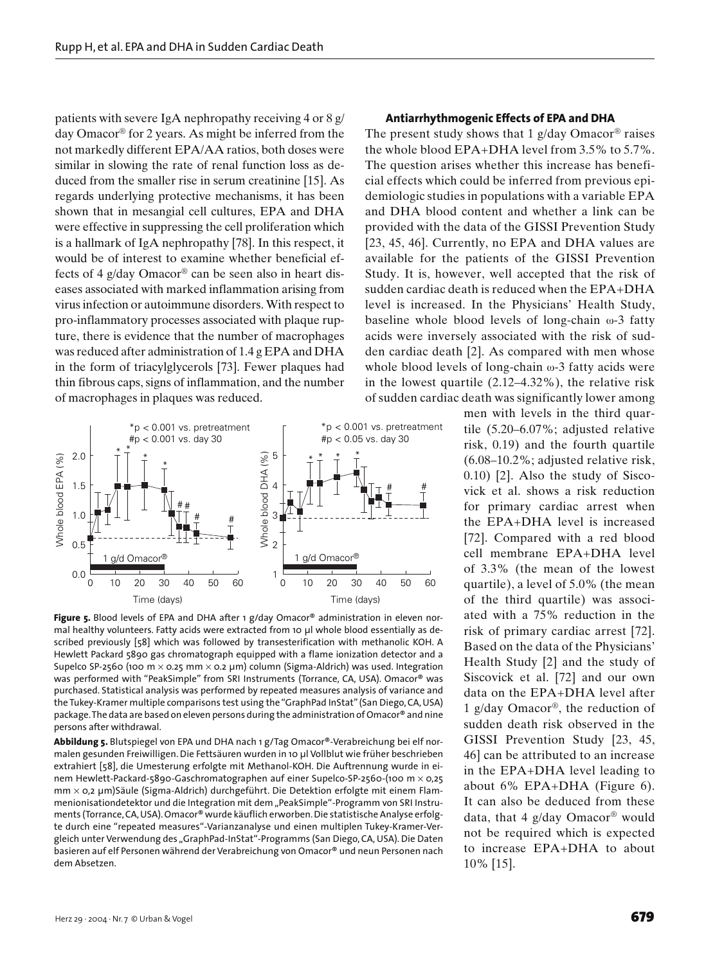patients with severe IgA nephropathy receiving 4 or 8 g/ day Omacor® for 2 years. As might be inferred from the not markedly different EPA/AA ratios, both doses were similar in slowing the rate of renal function loss as deduced from the smaller rise in serum creatinine [15]. As regards underlying protective mechanisms, it has been shown that in mesangial cell cultures, EPA and DHA were effective in suppressing the cell proliferation which is a hallmark of IgA nephropathy [78]. In this respect, it would be of interest to examine whether beneficial effects of 4 g/day Omacor® can be seen also in heart diseases associated with marked inflammation arising from virus infection or autoimmune disorders. With respect to pro-inflammatory processes associated with plaque rupture, there is evidence that the number of macrophages was reduced after administration of 1.4 g EPA and DHA in the form of triacylglycerols [73]. Fewer plaques had thin fibrous caps, signs of inflammation, and the number of macrophages in plaques was reduced.



Figure 5. Blood levels of EPA and DHA after 1 g/day Omacor® administration in eleven normal healthy volunteers. Fatty acids were extracted from 10 µl whole blood essentially as described previously [58] which was followed by transesterification with methanolic KOH. A Hewlett Packard 5890 gas chromatograph equipped with a flame ionization detector and a Supelco SP-2560 (100 m  $\times$  0.25 mm  $\times$  0.2 µm) column (Sigma-Aldrich) was used. Integration was performed with "PeakSimple" from SRI Instruments (Torrance, CA, USA). Omacor® was purchased. Statistical analysis was performed by repeated measures analysis of variance and the Tukey-Kramer multiple comparisons test using the "GraphPad InStat" (San Diego, CA, USA) package. The data are based on eleven persons during the administration of Omacor® and nine persons after withdrawal.

**Abbildung 5.** Blutspiegel von EPA und DHA nach 1 g/Tag Omacor®-Verabreichung bei elf normalen gesunden Freiwilligen. Die Fettsäuren wurden in 10 µl Vollblut wie früher beschrieben extrahiert [58], die Umesterung erfolgte mit Methanol-KOH. Die Auftrennung wurde in einem Hewlett-Packard-5890-Gaschromatographen auf einer Supelco-SP-2560-(100 m × 0,25 mm × 0,2 µm)Säule (Sigma-Aldrich) durchgeführt. Die Detektion erfolgte mit einem Flammenionisationdetektor und die Integration mit dem "PeakSimple"-Programm von SRI Instruments (Torrance, CA, USA). Omacor® wurde käuflich erworben. Die statistische Analyse erfolgte durch eine "repeated measures"-Varianzanalyse und einen multiplen Tukey-Kramer-Vergleich unter Verwendung des "GraphPad-InStat"-Programms (San Diego, CA, USA). Die Daten basieren auf elf Personen während der Verabreichung von Omacor® und neun Personen nach dem Absetzen.

#### **Antiarrhythmogenic Effects of EPA and DHA**

The present study shows that 1  $g$ /day Omacor<sup>®</sup> raises the whole blood EPA+DHA level from 3.5% to 5.7%. The question arises whether this increase has beneficial effects which could be inferred from previous epidemiologic studies in populations with a variable EPA and DHA blood content and whether a link can be provided with the data of the GISSI Prevention Study [23, 45, 46]. Currently, no EPA and DHA values are available for the patients of the GISSI Prevention Study. It is, however, well accepted that the risk of sudden cardiac death is reduced when the EPA+DHA level is increased. In the Physicians' Health Study, baseline whole blood levels of long-chain ω-3 fatty acids were inversely associated with the risk of sudden cardiac death [2]. As compared with men whose whole blood levels of long-chain ω-3 fatty acids were in the lowest quartile (2.12–4.32%), the relative risk of sudden cardiac death was significantly lower among

> men with levels in the third quartile (5.20–6.07%; adjusted relative risk, 0.19) and the fourth quartile (6.08–10.2%; adjusted relative risk, 0.10) [2]. Also the study of Siscovick et al. shows a risk reduction for primary cardiac arrest when the EPA+DHA level is increased [72]. Compared with a red blood cell membrane EPA+DHA level of 3.3% (the mean of the lowest quartile), a level of 5.0% (the mean of the third quartile) was associated with a 75% reduction in the risk of primary cardiac arrest [72]. Based on the data of the Physicians' Health Study [2] and the study of Siscovick et al. [72] and our own data on the EPA+DHA level after 1 g/day Omacor®, the reduction of sudden death risk observed in the GISSI Prevention Study [23, 45, 46] can be attributed to an increase in the EPA+DHA level leading to about 6% EPA+DHA (Figure 6). It can also be deduced from these data, that 4 g/day Omacor® would not be required which is expected to increase EPA+DHA to about 10% [15].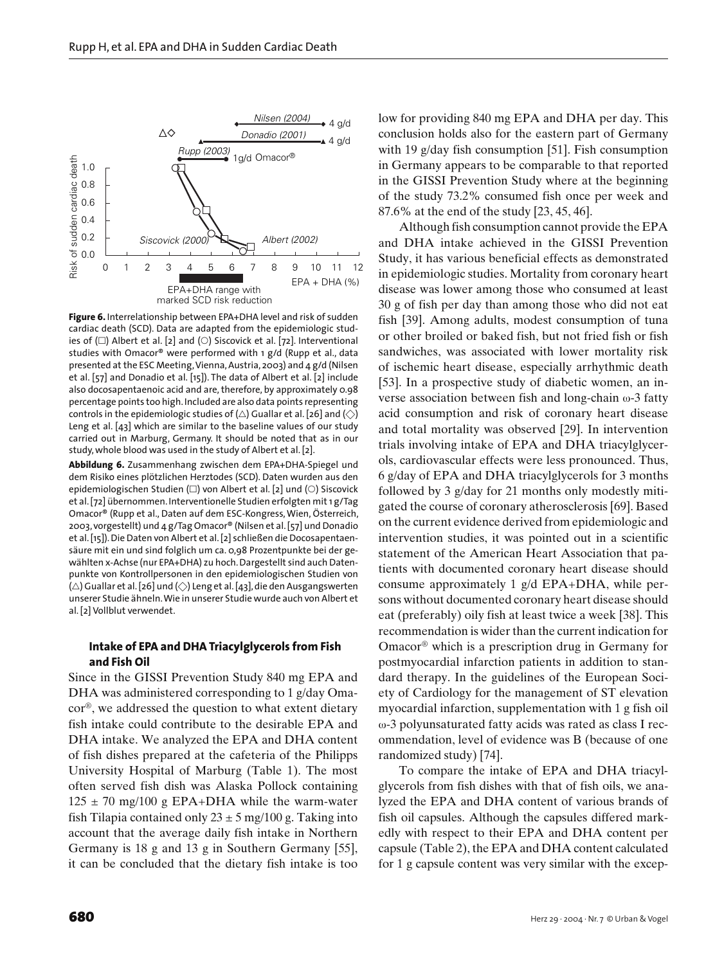

**Figure 6.** Interrelationship between EPA+DHA level and risk of sudden cardiac death (SCD). Data are adapted from the epidemiologic studies of  $\Box$ ) Albert et al. [2] and  $\Diamond$ ) Siscovick et al. [72]. Interventional studies with Omacor® were performed with 1 g/d (Rupp et al., data presented at the ESC Meeting, Vienna, Austria, 2003) and 4 g/d (Nilsen et al. [57] and Donadio et al. [15]). The data of Albert et al. [2] include also docosapentaenoic acid and are, therefore, by approximately 0.98 percentage points too high. Included are also data points representing controls in the epidemiologic studies of  $(\triangle)$  Guallar et al. [26] and  $(\diamondsuit)$ Leng et al. [43] which are similar to the baseline values of our study carried out in Marburg, Germany. It should be noted that as in our study, whole blood was used in the study of Albert et al. [2].

**Abbildung 6.** Zusammenhang zwischen dem EPA+DHA-Spiegel und dem Risiko eines plötzlichen Herztodes (SCD). Daten wurden aus den epidemiologischen Studien ( $\square$ ) von Albert et al. [2] und ( $\odot$ ) Siscovick et al. [72] übernommen. Interventionelle Studien erfolgten mit 1 g/Tag Omacor® (Rupp et al., Daten auf dem ESC-Kongress, Wien, Österreich, 2003, vorgestellt) und 4 g/Tag Omacor® (Nilsen et al. [57] und Donadio et al. [15]). Die Daten von Albert et al. [2] schließen die Docosapentaensäure mit ein und sind folglich um ca. 0,98 Prozentpunkte bei der gewählten x-Achse (nur EPA+DHA) zu hoch. Dargestellt sind auch Datenpunkte von Kontrollpersonen in den epidemiologischen Studien von  $(\triangle)$  Guallar et al. [26] und  $(\diamondsuit)$  Leng et al. [43], die den Ausgangswerten unserer Studie ähneln. Wie in unserer Studie wurde auch von Albert et al. [2] Vollblut verwendet.

## **Intake of EPA and DHA Triacylglycerols from Fish and Fish Oil**

Since in the GISSI Prevention Study 840 mg EPA and DHA was administered corresponding to 1 g/day Omacor®, we addressed the question to what extent dietary fish intake could contribute to the desirable EPA and DHA intake. We analyzed the EPA and DHA content of fish dishes prepared at the cafeteria of the Philipps University Hospital of Marburg (Table 1). The most often served fish dish was Alaska Pollock containing  $125 \pm 70$  mg/100 g EPA+DHA while the warm-water fish Tilapia contained only  $23 \pm 5$  mg/100 g. Taking into account that the average daily fish intake in Northern Germany is 18 g and 13 g in Southern Germany [55], it can be concluded that the dietary fish intake is too

low for providing 840 mg EPA and DHA per day. This conclusion holds also for the eastern part of Germany with 19 g/day fish consumption [51]. Fish consumption in Germany appears to be comparable to that reported in the GISSI Prevention Study where at the beginning of the study 73.2% consumed fish once per week and 87.6% at the end of the study [23, 45, 46].

Although fish consumption cannot provide the EPA and DHA intake achieved in the GISSI Prevention Study, it has various beneficial effects as demonstrated in epidemiologic studies. Mortality from coronary heart disease was lower among those who consumed at least 30 g of fish per day than among those who did not eat fish [39]. Among adults, modest consumption of tuna or other broiled or baked fish, but not fried fish or fish sandwiches, was associated with lower mortality risk of ischemic heart disease, especially arrhythmic death [53]. In a prospective study of diabetic women, an inverse association between fish and long-chain ω-3 fatty acid consumption and risk of coronary heart disease and total mortality was observed [29]. In intervention trials involving intake of EPA and DHA triacylglycerols, cardiovascular effects were less pronounced. Thus, 6 g/day of EPA and DHA triacylglycerols for 3 months followed by 3 g/day for 21 months only modestly mitigated the course of coronary atherosclerosis [69]. Based on the current evidence derived from epidemiologic and intervention studies, it was pointed out in a scientific statement of the American Heart Association that patients with documented coronary heart disease should consume approximately 1 g/d EPA+DHA, while persons without documented coronary heart disease should eat (preferably) oily fish at least twice a week [38]. This recommendation is wider than the current indication for Omacor® which is a prescription drug in Germany for postmyocardial infarction patients in addition to standard therapy. In the guidelines of the European Society of Cardiology for the management of ST elevation myocardial infarction, supplementation with 1 g fish oil ω-3 polyunsaturated fatty acids was rated as class I recommendation, level of evidence was B (because of one randomized study) [74].

To compare the intake of EPA and DHA triacylglycerols from fish dishes with that of fish oils, we analyzed the EPA and DHA content of various brands of fish oil capsules. Although the capsules differed markedly with respect to their EPA and DHA content per capsule (Table 2), the EPA and DHA content calculated for 1 g capsule content was very similar with the excep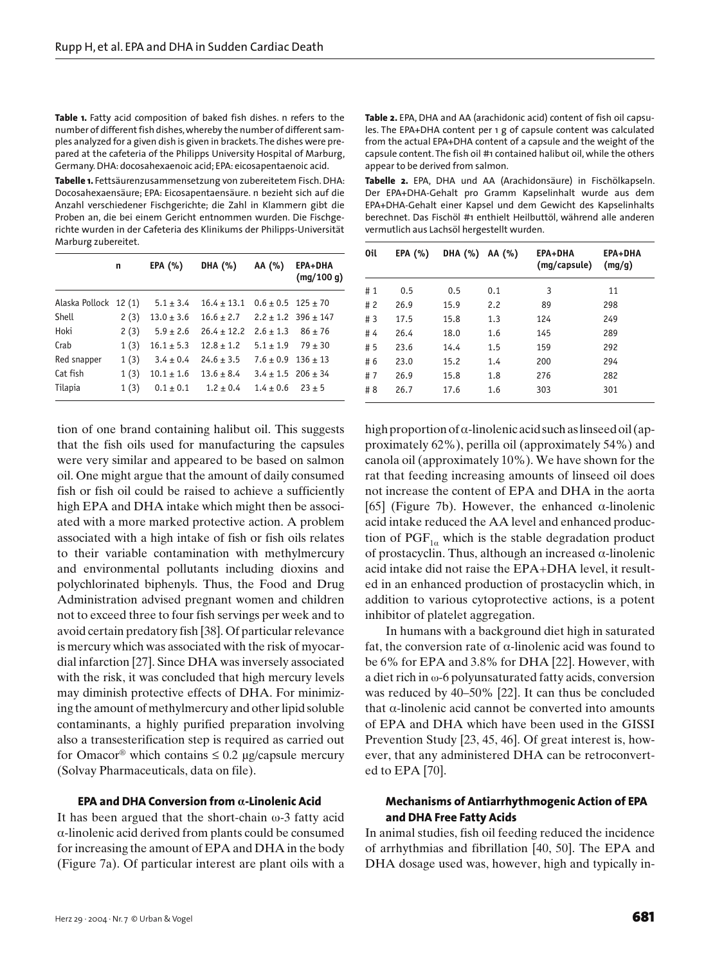**Table 1.** Fatty acid composition of baked fish dishes. n refers to the number of different fish dishes, whereby the number of different samples analyzed for a given dish is given in brackets. The dishes were prepared at the cafeteria of the Philipps University Hospital of Marburg, Germany. DHA: docosahexaenoic acid; EPA: eicosapentaenoic acid.

**Tabelle 1.** Fettsäurenzusammensetzung von zubereitetem Fisch. DHA: Docosahexaensäure; EPA: Eicosapentaensäure. n bezieht sich auf die Anzahl verschiedener Fischgerichte; die Zahl in Klammern gibt die Proben an, die bei einem Gericht entnommen wurden. Die Fischgerichte wurden in der Cafeteria des Klinikums der Philipps-Universität Marburg zubereitet.

|                       | n    | EPA $(%)$      | DHA (%)         | AA (%)                     | EPA+DHA<br>(mq/100 q)       |
|-----------------------|------|----------------|-----------------|----------------------------|-----------------------------|
| Alaska Pollock 12 (1) |      | $5.1 \pm 3.4$  | $16.4 \pm 13.1$ | $0.6 \pm 0.5$ 125 $\pm$ 70 |                             |
| Shell                 | 2(3) | $13.0 \pm 3.6$ | $16.6 \pm 2.7$  |                            | $2.2 \pm 1.2$ 396 $\pm$ 147 |
| Hoki                  | 2(3) | $5.9 \pm 2.6$  | $26.4 \pm 12.2$ | $2.6 \pm 1.3$              | $86 \pm 76$                 |
| Crab                  | 1(3) | $16.1 \pm 5.3$ | $12.8 \pm 1.2$  | $5.1 \pm 1.9$              | $79 \pm 30$                 |
| Red snapper           | 1(3) | $3.4 \pm 0.4$  | $24.6 \pm 3.5$  | $7.6 \pm 0.9$ 136 $\pm$ 13 |                             |
| Cat fish              | 1(3) | $10.1 \pm 1.6$ | $13.6 \pm 8.4$  | $3.4 + 1.5$ 206 + 34       |                             |
| Tilapia               | 1(3) | $0.1 \pm 0.1$  | $1.2 \pm 0.4$   | $1.4 + 0.6$                | $23 + 5$                    |

tion of one brand containing halibut oil. This suggests that the fish oils used for manufacturing the capsules were very similar and appeared to be based on salmon oil. One might argue that the amount of daily consumed fish or fish oil could be raised to achieve a sufficiently high EPA and DHA intake which might then be associated with a more marked protective action. A problem associated with a high intake of fish or fish oils relates to their variable contamination with methylmercury and environmental pollutants including dioxins and polychlorinated biphenyls. Thus, the Food and Drug Administration advised pregnant women and children not to exceed three to four fish servings per week and to avoid certain predatory fish [38]. Of particular relevance is mercury which was associated with the risk of myocardial infarction [27]. Since DHA was inversely associated with the risk, it was concluded that high mercury levels may diminish protective effects of DHA. For minimizing the amount of methylmercury and other lipid soluble contaminants, a highly purified preparation involving also a transesterification step is required as carried out for Omacor<sup>®</sup> which contains  $\leq 0.2$  µg/capsule mercury (Solvay Pharmaceuticals, data on file).

#### **EPA and DHA Conversion from α-Linolenic Acid**

It has been argued that the short-chain ω-3 fatty acid α-linolenic acid derived from plants could be consumed for increasing the amount of EPA and DHA in the body (Figure 7a). Of particular interest are plant oils with a **Table 2.** EPA, DHA and AA (arachidonic acid) content of fish oil capsules. The EPA+DHA content per 1 g of capsule content was calculated from the actual EPA+DHA content of a capsule and the weight of the capsule content. The fish oil #1 contained halibut oil, while the others appear to be derived from salmon.

**Tabelle 2.** EPA, DHA und AA (Arachidonsäure) in Fischölkapseln. Der EPA+DHA-Gehalt pro Gramm Kapselinhalt wurde aus dem EPA+DHA-Gehalt einer Kapsel und dem Gewicht des Kapselinhalts berechnet. Das Fischöl #1 enthielt Heilbuttöl, während alle anderen vermutlich aus Lachsöl hergestellt wurden.

| 0il   | EPA $(%)$ | <b>DHA (%)</b> | AA (%) | EPA+DHA<br>(mg/capsule) | EPA+DHA<br>(mg/g) |
|-------|-----------|----------------|--------|-------------------------|-------------------|
| # $1$ | 0.5       | 0.5            | 0.1    | 3                       | 11                |
| # $2$ | 26.9      | 15.9           | 2.2    | 89                      | 298               |
| #3    | 17.5      | 15.8           | 1.3    | 124                     | 249               |
| #4    | 26.4      | 18.0           | 1.6    | 145                     | 289               |
| # 5   | 23.6      | 14.4           | 1.5    | 159                     | 292               |
| # 6   | 23.0      | 15.2           | 1.4    | 200                     | 294               |
| # 7   | 26.9      | 15.8           | 1.8    | 276                     | 282               |
| # 8   | 26.7      | 17.6           | 1.6    | 303                     | 301               |

high proportion of  $\alpha$ -linolenic acid such as linseed oil (approximately 62%), perilla oil (approximately 54%) and canola oil (approximately 10%). We have shown for the rat that feeding increasing amounts of linseed oil does not increase the content of EPA and DHA in the aorta [65] (Figure 7b). However, the enhanced  $\alpha$ -linolenic acid intake reduced the AA level and enhanced production of  $PGF_{1\alpha}$  which is the stable degradation product of prostacyclin. Thus, although an increased α-linolenic acid intake did not raise the EPA+DHA level, it resulted in an enhanced production of prostacyclin which, in addition to various cytoprotective actions, is a potent inhibitor of platelet aggregation.

In humans with a background diet high in saturated fat, the conversion rate of  $\alpha$ -linolenic acid was found to be 6% for EPA and 3.8% for DHA [22]. However, with a diet rich in ω-6 polyunsaturated fatty acids, conversion was reduced by 40–50% [22]. It can thus be concluded that α-linolenic acid cannot be converted into amounts of EPA and DHA which have been used in the GISSI Prevention Study [23, 45, 46]. Of great interest is, however, that any administered DHA can be retroconverted to EPA [70].

## **Mechanisms of Antiarrhythmogenic Action of EPA and DHA Free Fatty Acids**

In animal studies, fish oil feeding reduced the incidence of arrhythmias and fibrillation [40, 50]. The EPA and DHA dosage used was, however, high and typically in-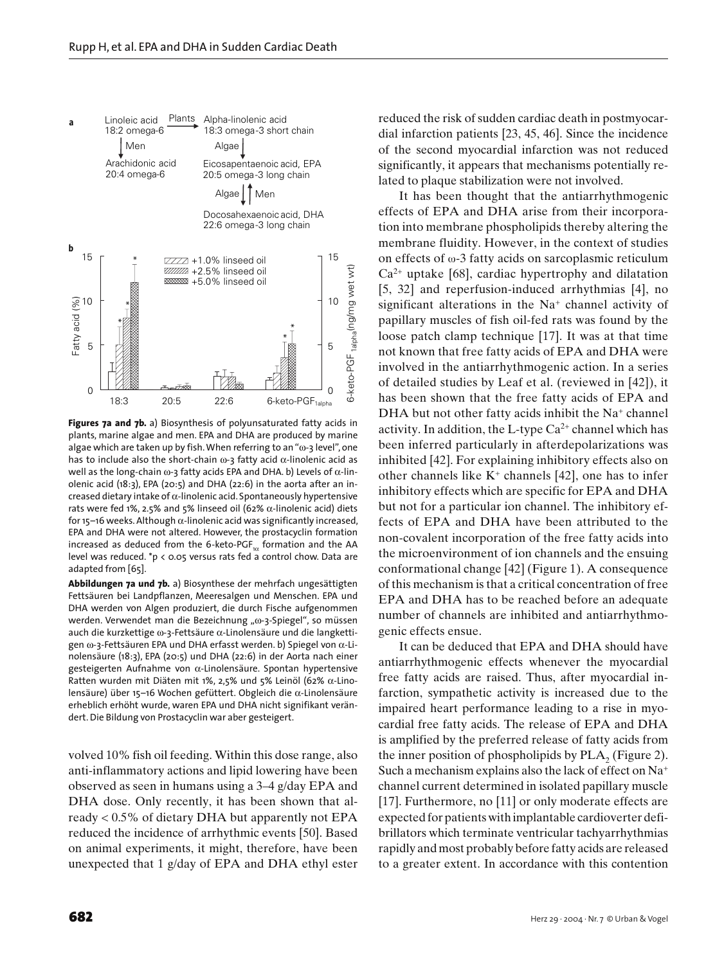

**Figures 7a and 7b.** a) Biosynthesis of polyunsaturated fatty acids in plants, marine algae and men. EPA and DHA are produced by marine algae which are taken up by fish. When referring to an "ω-3 level", one has to include also the short-chain ω-3 fatty acid  $α$ -linolenic acid as well as the long-chain  $ω$ -3 fatty acids EPA and DHA. b) Levels of  $α$ -linolenic acid (18:3), EPA (20:5) and DHA (22:6) in the aorta after an increased dietary intake of  $\alpha$ -linolenic acid. Spontaneously hypertensive rats were fed 1%, 2.5% and 5% linseed oil (62%  $\alpha$ -linolenic acid) diets for 15–16 weeks. Although α-linolenic acid was significantly increased, EPA and DHA were not altered. However, the prostacyclin formation increased as deduced from the 6-keto-PGF $_{1\alpha}$  formation and the AA level was reduced. \*p < 0.05 versus rats fed  $a$  control chow. Data are adapted from [65].

**Abbildungen 7a und 7b.** a) Biosynthese der mehrfach ungesättigten Fettsäuren bei Landpflanzen, Meeresalgen und Menschen. EPA und DHA werden von Algen produziert, die durch Fische aufgenommen werden. Verwendet man die Bezeichnung "ω-3-Spiegel", so müssen auch die kurzkettige ω-3-Fettsäure α-Linolensäure und die langkettigen ω-3-Fettsäuren EPA und DHA erfasst werden. b) Spiegel von α-Linolensäure (18:3), EPA (20:5) und DHA (22:6) in der Aorta nach einer gesteigerten Aufnahme von α-Linolensäure. Spontan hypertensive Ratten wurden mit Diäten mit 1%, 2,5% und 5% Leinöl (62% α-Linolensäure) über 15–16 Wochen gefüttert. Obgleich die α-Linolensäure erheblich erhöht wurde, waren EPA und DHA nicht signifikant verändert. Die Bildung von Prostacyclin war aber gesteigert.

volved 10% fish oil feeding. Within this dose range, also anti-inflammatory actions and lipid lowering have been observed as seen in humans using a 3–4 g/day EPA and DHA dose. Only recently, it has been shown that already < 0.5% of dietary DHA but apparently not EPA reduced the incidence of arrhythmic events [50]. Based on animal experiments, it might, therefore, have been unexpected that 1 g/day of EPA and DHA ethyl ester reduced the risk of sudden cardiac death in postmyocardial infarction patients [23, 45, 46]. Since the incidence of the second myocardial infarction was not reduced significantly, it appears that mechanisms potentially related to plaque stabilization were not involved.

It has been thought that the antiarrhythmogenic effects of EPA and DHA arise from their incorporation into membrane phospholipids thereby altering the membrane fluidity. However, in the context of studies on effects of ω-3 fatty acids on sarcoplasmic reticulum  $Ca<sup>2+</sup>$  uptake [68], cardiac hypertrophy and dilatation [5, 32] and reperfusion-induced arrhythmias [4], no significant alterations in the  $Na<sup>+</sup>$  channel activity of papillary muscles of fish oil-fed rats was found by the loose patch clamp technique [17]. It was at that time not known that free fatty acids of EPA and DHA were involved in the antiarrhythmogenic action. In a series of detailed studies by Leaf et al. (reviewed in [42]), it has been shown that the free fatty acids of EPA and DHA but not other fatty acids inhibit the Na<sup>+</sup> channel activity. In addition, the L-type  $Ca^{2+}$  channel which has been inferred particularly in afterdepolarizations was inhibited [42]. For explaining inhibitory effects also on other channels like  $K^+$  channels [42], one has to infer inhibitory effects which are specific for EPA and DHA but not for a particular ion channel. The inhibitory effects of EPA and DHA have been attributed to the non-covalent incorporation of the free fatty acids into the microenvironment of ion channels and the ensuing conformational change [42] (Figure 1). A consequence of this mechanism is that a critical concentration of free EPA and DHA has to be reached before an adequate number of channels are inhibited and antiarrhythmogenic effects ensue.

It can be deduced that EPA and DHA should have antiarrhythmogenic effects whenever the myocardial free fatty acids are raised. Thus, after myocardial infarction, sympathetic activity is increased due to the impaired heart performance leading to a rise in myocardial free fatty acids. The release of EPA and DHA is amplified by the preferred release of fatty acids from the inner position of phospholipids by  $PLA_2$  (Figure 2). Such a mechanism explains also the lack of effect on Na+ channel current determined in isolated papillary muscle [17]. Furthermore, no [11] or only moderate effects are expected for patients with implantable cardioverter defibrillators which terminate ventricular tachyarrhythmias rapidly and most probably before fatty acids are released to a greater extent. In accordance with this contention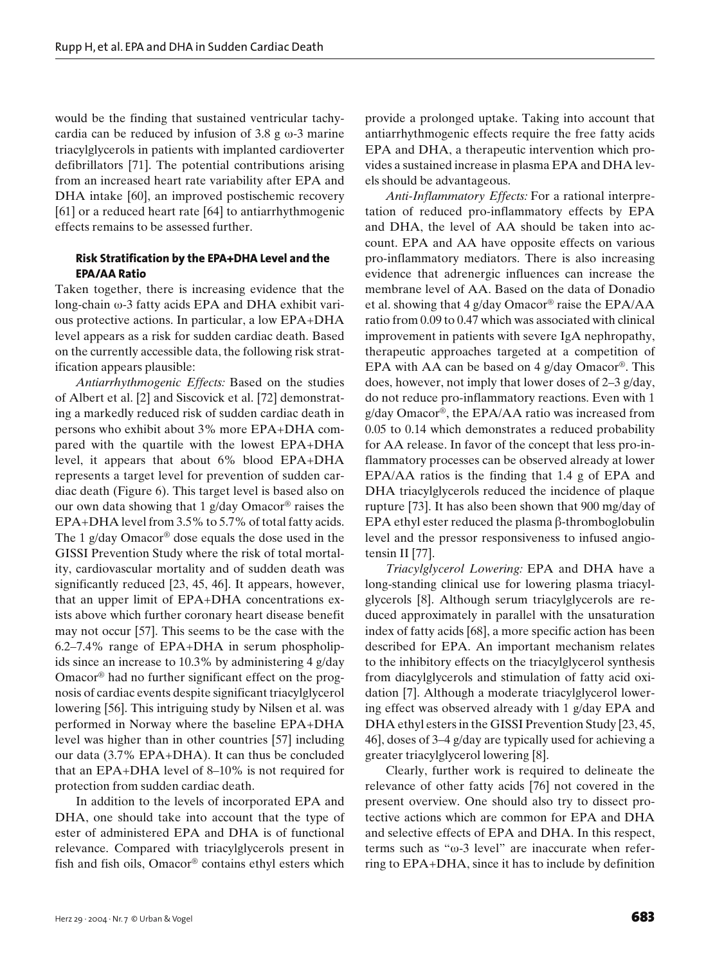would be the finding that sustained ventricular tachycardia can be reduced by infusion of  $3.8 \text{ g} \omega$ -3 marine triacylglycerols in patients with implanted cardioverter defibrillators [71]. The potential contributions arising from an increased heart rate variability after EPA and DHA intake [60], an improved postischemic recovery [61] or a reduced heart rate [64] to antiarrhythmogenic effects remains to be assessed further.

## **Risk Stratification by the EPA+DHA Level and the EPA/AA Ratio**

Taken together, there is increasing evidence that the long-chain ω-3 fatty acids EPA and DHA exhibit various protective actions. In particular, a low EPA+DHA level appears as a risk for sudden cardiac death. Based on the currently accessible data, the following risk stratification appears plausible:

*Antiarrhythmogenic Effects:* Based on the studies of Albert et al. [2] and Siscovick et al. [72] demonstrating a markedly reduced risk of sudden cardiac death in persons who exhibit about 3% more EPA+DHA compared with the quartile with the lowest EPA+DHA level, it appears that about 6% blood EPA+DHA represents a target level for prevention of sudden cardiac death (Figure 6). This target level is based also on our own data showing that 1 g/day Omacor® raises the EPA+DHA level from 3.5% to 5.7% of total fatty acids. The 1 g/day Omacor<sup>®</sup> dose equals the dose used in the GISSI Prevention Study where the risk of total mortality, cardiovascular mortality and of sudden death was significantly reduced [23, 45, 46]. It appears, however, that an upper limit of EPA+DHA concentrations exists above which further coronary heart disease benefit may not occur [57]. This seems to be the case with the 6.2–7.4% range of EPA+DHA in serum phospholipids since an increase to 10.3% by administering 4 g/day Omacor® had no further significant effect on the prognosis of cardiac events despite significant triacylglycerol lowering [56]. This intriguing study by Nilsen et al. was performed in Norway where the baseline EPA+DHA level was higher than in other countries [57] including our data (3.7% EPA+DHA). It can thus be concluded that an EPA+DHA level of 8–10% is not required for protection from sudden cardiac death.

In addition to the levels of incorporated EPA and DHA, one should take into account that the type of ester of administered EPA and DHA is of functional relevance. Compared with triacylglycerols present in fish and fish oils, Omacor® contains ethyl esters which

provide a prolonged uptake. Taking into account that antiarrhythmogenic effects require the free fatty acids EPA and DHA, a therapeutic intervention which provides a sustained increase in plasma EPA and DHA levels should be advantageous.

*Anti-Inflammatory Effects:* For a rational interpretation of reduced pro-inflammatory effects by EPA and DHA, the level of AA should be taken into account. EPA and AA have opposite effects on various pro-inflammatory mediators. There is also increasing evidence that adrenergic influences can increase the membrane level of AA. Based on the data of Donadio et al. showing that 4 g/day Omacor® raise the EPA/AA ratio from 0.09 to 0.47 which was associated with clinical improvement in patients with severe IgA nephropathy, therapeutic approaches targeted at a competition of EPA with AA can be based on 4 g/day Omacor®. This does, however, not imply that lower doses of 2–3 g/day, do not reduce pro-inflammatory reactions. Even with 1 g/day Omacor®, the EPA/AA ratio was increased from 0.05 to 0.14 which demonstrates a reduced probability for AA release. In favor of the concept that less pro-inflammatory processes can be observed already at lower EPA/AA ratios is the finding that 1.4 g of EPA and DHA triacylglycerols reduced the incidence of plaque rupture [73]. It has also been shown that 900 mg/day of EPA ethyl ester reduced the plasma  $\beta$ -thromboglobulin level and the pressor responsiveness to infused angiotensin II [77].

*Triacylglycerol Lowering:* EPA and DHA have a long-standing clinical use for lowering plasma triacylglycerols [8]. Although serum triacylglycerols are reduced approximately in parallel with the unsaturation index of fatty acids [68], a more specific action has been described for EPA. An important mechanism relates to the inhibitory effects on the triacylglycerol synthesis from diacylglycerols and stimulation of fatty acid oxidation [7]. Although a moderate triacylglycerol lowering effect was observed already with 1 g/day EPA and DHA ethyl esters in the GISSI Prevention Study [23, 45, 46], doses of 3–4 g/day are typically used for achieving a greater triacylglycerol lowering [8].

Clearly, further work is required to delineate the relevance of other fatty acids [76] not covered in the present overview. One should also try to dissect protective actions which are common for EPA and DHA and selective effects of EPA and DHA. In this respect, terms such as "ω-3 level" are inaccurate when referring to EPA+DHA, since it has to include by definition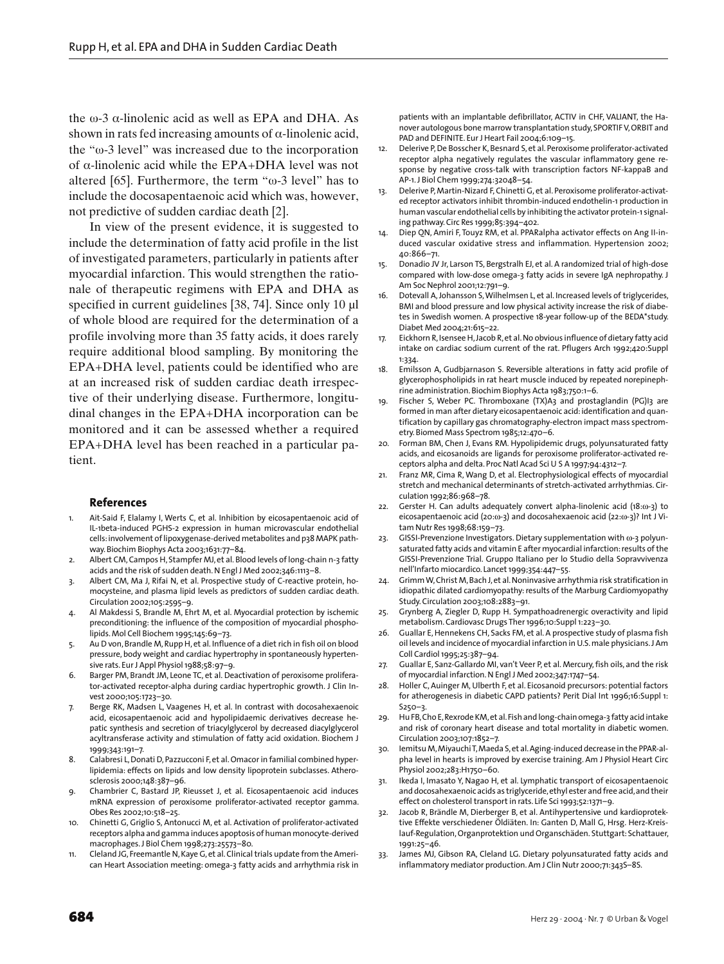the ω-3 α-linolenic acid as well as EPA and DHA. As shown in rats fed increasing amounts of  $\alpha$ -linolenic acid, the "ω-3 level" was increased due to the incorporation of α-linolenic acid while the EPA+DHA level was not altered [65]. Furthermore, the term "ω-3 level" has to include the docosapentaenoic acid which was, however, not predictive of sudden cardiac death [2].

In view of the present evidence, it is suggested to include the determination of fatty acid profile in the list of investigated parameters, particularly in patients after myocardial infarction. This would strengthen the rationale of therapeutic regimens with EPA and DHA as specified in current guidelines [38, 74]. Since only 10  $\mu$ l of whole blood are required for the determination of a profile involving more than 35 fatty acids, it does rarely require additional blood sampling. By monitoring the EPA+DHA level, patients could be identified who are at an increased risk of sudden cardiac death irrespective of their underlying disease. Furthermore, longitudinal changes in the EPA+DHA incorporation can be monitored and it can be assessed whether a required EPA+DHA level has been reached in a particular patient.

#### **References**

- 1. Ait-Said F, Elalamy I, Werts C, et al. Inhibition by eicosapentaenoic acid of IL-1beta-induced PGHS-2 expression in human microvascular endothelial cells: involvement of lipoxygenase-derived metabolites and p38 MAPK pathway. Biochim Biophys Acta 2003;1631:77–84.
- 2. Albert CM, Campos H, Stampfer MJ, et al. Blood levels of long-chain n-3 fatty acids and the risk of sudden death. N Engl J Med 2002;346:1113–8.
- 3. Albert CM, Ma J, Rifai N, et al. Prospective study of C-reactive protein, homocysteine, and plasma lipid levels as predictors of sudden cardiac death. Circulation 2002;105:2595–9.
- Al Makdessi S, Brandle M, Ehrt M, et al. Myocardial protection by ischemic preconditioning: the influence of the composition of myocardial phospholipids. Mol Cell Biochem 1995;145:69–73.
- 5. Au D von, Brandle M, Rupp H, et al. Influence of a diet rich in fish oil on blood pressure, body weight and cardiac hypertrophy in spontaneously hypertensive rats. Eur J Appl Physiol 1988;58:97–9.
- 6. Barger PM, Brandt JM, Leone TC, et al. Deactivation of peroxisome proliferator-activated receptor-alpha during cardiac hypertrophic growth. J Clin Invest 2000;105:1723–30.
- 7. Berge RK, Madsen L, Vaagenes H, et al. In contrast with docosahexaenoic acid, eicosapentaenoic acid and hypolipidaemic derivatives decrease hepatic synthesis and secretion of triacylglycerol by decreased diacylglycerol acyltransferase activity and stimulation of fatty acid oxidation. Biochem J 1999;343:191–7.
- 8. Calabresi L, Donati D, Pazzucconi F, et al. Omacor in familial combined hyperlipidemia: effects on lipids and low density lipoprotein subclasses. Atherosclerosis 2000;148:387–96.
- 9. Chambrier C, Bastard JP, Rieusset J, et al. Eicosapentaenoic acid induces mRNA expression of peroxisome proliferator-activated receptor gamma. Obes Res 2002;10:518–25.
- 10. Chinetti G, Griglio S, Antonucci M, et al. Activation of proliferator-activated receptors alpha and gamma induces apoptosis of human monocyte-derived macrophages. J Biol Chem 1998;273:25573–80.
- 11. Cleland JG, Freemantle N, Kaye G, et al. Clinical trials update from the American Heart Association meeting: omega-3 fatty acids and arrhythmia risk in

patients with an implantable defibrillator, ACTIV in CHF, VALIANT, the Hanover autologous bone marrow transplantation study, SPORTIF V, ORBIT and PAD and DEFINITE. Eur J Heart Fail 2004;6:109–15.

- 12. Delerive P, De Bosscher K, Besnard S, et al. Peroxisome proliferator-activated receptor alpha negatively regulates the vascular inflammatory gene response by negative cross-talk with transcription factors NF-kappaB and AP-1. J Biol Chem 1999;274:32048–54.
- 13. Delerive P, Martin-Nizard F, Chinetti G, et al. Peroxisome proliferator-activated receptor activators inhibit thrombin-induced endothelin-1 production in human vascular endothelial cells by inhibiting the activator protein-1 signaling pathway. Circ Res 1999;85:394-402.
- 14. Diep QN, Amiri F, Touyz RM, et al. PPARalpha activator effects on Ang II-induced vascular oxidative stress and inflammation. Hypertension 2002; 40:866–71.
- 15. Donadio JV Jr, Larson TS, Bergstralh EJ, et al. A randomized trial of high-dose compared with low-dose omega-3 fatty acids in severe IgA nephropathy. J Am Soc Nephrol 2001;12:791–9.
- Dotevall A, Johansson S, Wilhelmsen L, et al. Increased levels of triglycerides, BMI and blood pressure and low physical activity increase the risk of diabetes in Swedish women. A prospective 18-year follow-up of the BEDA\*study. Diabet Med 2004;21:615–22.
- 17. Eickhorn R, Isensee H, Jacob R, et al. No obvious influence of dietary fatty acid intake on cardiac sodium current of the rat. Pflugers Arch 1992;420:Suppl 1:334.
- 18. Emilsson A, Gudbjarnason S. Reversible alterations in fatty acid profile of glycerophospholipids in rat heart muscle induced by repeated norepinephrine administration. Biochim Biophys Acta 1983;750:1–6.
- 19. Fischer S, Weber PC. Thromboxane (TX)A3 and prostaglandin (PG)I3 are formed in man after dietary eicosapentaenoic acid: identification and quantification by capillary gas chromatography-electron impact mass spectrometry. Biomed Mass Spectrom 1985;12:470–6.
- 20. Forman BM, Chen J, Evans RM. Hypolipidemic drugs, polyunsaturated fatty acids, and eicosanoids are ligands for peroxisome proliferator-activated receptors alpha and delta. Proc Natl Acad Sci U S A 1997;94:4312–7.
- 21. Franz MR, Cima R, Wang D, et al. Electrophysiological effects of myocardial stretch and mechanical determinants of stretch-activated arrhythmias. Circulation 1992;86:968–78.
- 22. Gerster H. Can adults adequately convert alpha-linolenic acid (18:ω-3) to eicosapentaenoic acid (20:ω-3) and docosahexaenoic acid (22:ω-3)? Int J Vitam Nutr Res 1998;68:159–73.
- 23. GISSI-Prevenzione Investigators. Dietary supplementation with ω-3 polyunsaturated fatty acids and vitamin E after myocardial infarction: results of the GISSI-Prevenzione Trial. Gruppo Italiano per lo Studio della Sopravvivenza nell'Infarto miocardico. Lancet 1999;354:447–55.
- 24. Grimm W, Christ M, Bach J, et al. Noninvasive arrhythmia risk stratification in idiopathic dilated cardiomyopathy: results of the Marburg Cardiomyopathy Study. Circulation 2003;108:2883–91.
- 25. Grynberg A, Ziegler D, Rupp H. Sympathoadrenergic overactivity and lipid metabolism. Cardiovasc Drugs Ther 1996;10:Suppl 1:223–30.
- 26. Guallar E, Hennekens CH, Sacks FM, et al. A prospective study of plasma fish oil levels and incidence of myocardial infarction in U.S. male physicians. J Am Coll Cardiol 1995;25:387–94.
- 27. Guallar E, Sanz-Gallardo MI, van't Veer P, et al. Mercury, fish oils, and the risk of myocardial infarction. N Engl J Med 2002;347:1747–54.
- 28. Holler C, Auinger M, Ulberth F, et al. Eicosanoid precursors: potential factors for atherogenesis in diabetic CAPD patients? Perit Dial Int 1996;16:Suppl 1: S250–3.
- 29. Hu FB, Cho E, Rexrode KM, et al. Fish and long-chain omega-3 fatty acid intake and risk of coronary heart disease and total mortality in diabetic women. Circulation 2003;107:1852–7.
- 30. Iemitsu M, Miyauchi T, Maeda S, et al. Aging-induced decrease in the PPAR-alpha level in hearts is improved by exercise training. Am J Physiol Heart Circ Physiol 2002;283:H1750–60.
- 31. Ikeda I, Imasato Y, Nagao H, et al. Lymphatic transport of eicosapentaenoic and docosahexaenoic acids as triglyceride, ethyl ester and free acid, and their effect on cholesterol transport in rats. Life Sci 1993;52:1371–9.
- 32. Jacob R, Brändle M, Dierberger B, et al. Antihypertensive und kardioprotektive Effekte verschiedener Öldiäten. In: Ganten D, Mall G, Hrsg. Herz-Kreislauf-Regulation, Organprotektion und Organschäden. Stuttgart: Schattauer, 1991:25–46.
- 33. James MJ, Gibson RA, Cleland LG. Dietary polyunsaturated fatty acids and inflammatory mediator production. Am J Clin Nutr 2000;71:343S–8S.